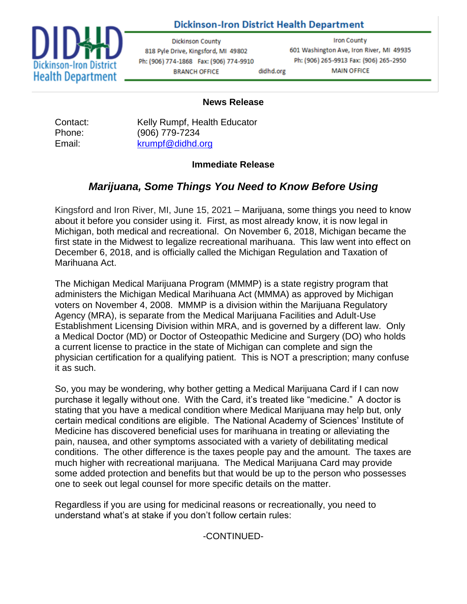

# **Dickinson-Iron District Health Department**

**Dickinson County** 818 Pyle Drive, Kingsford, MI 49802 Ph: (906) 774-1868 Fax: (906) 774-9910 **BRANCH OFFICE** didhd.org

**Iron County** 601 Washington Ave, Iron River, MI 49935 Ph: (906) 265-9913 Fax: (906) 265-2950 **MAIN OFFICE** 

### **News Release**

Contact: Kelly Rumpf, Health Educator Phone: (906) 779-7234 Email: [krumpf@didhd.org](mailto:krumpf@didhd.org)

### **Immediate Release**

# *Marijuana, Some Things You Need to Know Before Using*

Kingsford and Iron River, MI, June 15, 2021 – Marijuana, some things you need to know about it before you consider using it. First, as most already know, it is now legal in Michigan, both medical and recreational. On November 6, 2018, Michigan became the first state in the Midwest to legalize recreational marihuana. This law went into effect on December 6, 2018, and is officially called the Michigan Regulation and Taxation of Marihuana Act.

The Michigan Medical Marijuana Program (MMMP) is a state registry program that administers the Michigan Medical Marihuana Act (MMMA) as approved by Michigan voters on November 4, 2008. MMMP is a division within the Marijuana Regulatory Agency (MRA), is separate from the Medical Marijuana Facilities and Adult-Use Establishment Licensing Division within MRA, and is governed by a different law. Only a Medical Doctor (MD) or Doctor of Osteopathic Medicine and Surgery (DO) who holds a current license to practice in the state of Michigan can complete and sign the physician certification for a qualifying patient. This is NOT a prescription; many confuse it as such.

So, you may be wondering, why bother getting a Medical Marijuana Card if I can now purchase it legally without one. With the Card, it's treated like "medicine." A doctor is stating that you have a medical condition where Medical Marijuana may help but, only certain medical conditions are eligible. The National Academy of Sciences' Institute of Medicine has discovered beneficial uses for marihuana in treating or alleviating the pain, nausea, and other symptoms associated with a variety of debilitating medical conditions. The other difference is the taxes people pay and the amount. The taxes are much higher with recreational marijuana. The Medical Marijuana Card may provide some added protection and benefits but that would be up to the person who possesses one to seek out legal counsel for more specific details on the matter.

Regardless if you are using for medicinal reasons or recreationally, you need to understand what's at stake if you don't follow certain rules:

## -CONTINUED-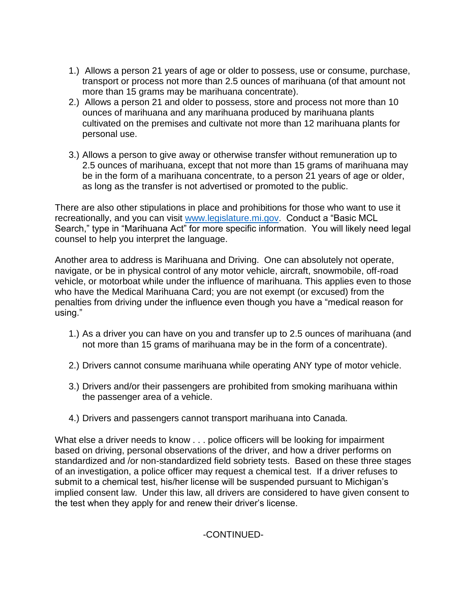- 1.) Allows a person 21 years of age or older to possess, use or consume, purchase, transport or process not more than 2.5 ounces of marihuana (of that amount not more than 15 grams may be marihuana concentrate).
- 2.) Allows a person 21 and older to possess, store and process not more than 10 ounces of marihuana and any marihuana produced by marihuana plants cultivated on the premises and cultivate not more than 12 marihuana plants for personal use.
- 3.) Allows a person to give away or otherwise transfer without remuneration up to 2.5 ounces of marihuana, except that not more than 15 grams of marihuana may be in the form of a marihuana concentrate, to a person 21 years of age or older, as long as the transfer is not advertised or promoted to the public.

There are also other stipulations in place and prohibitions for those who want to use it recreationally, and you can visit [www.legislature.mi.gov.](http://www.legislature.mi.gov/) Conduct a "Basic MCL Search," type in "Marihuana Act" for more specific information. You will likely need legal counsel to help you interpret the language.

Another area to address is Marihuana and Driving. One can absolutely not operate, navigate, or be in physical control of any motor vehicle, aircraft, snowmobile, off-road vehicle, or motorboat while under the influence of marihuana. This applies even to those who have the Medical Marihuana Card; you are not exempt (or excused) from the penalties from driving under the influence even though you have a "medical reason for using."

- 1.) As a driver you can have on you and transfer up to 2.5 ounces of marihuana (and not more than 15 grams of marihuana may be in the form of a concentrate).
- 2.) Drivers cannot consume marihuana while operating ANY type of motor vehicle.
- 3.) Drivers and/or their passengers are prohibited from smoking marihuana within the passenger area of a vehicle.
- 4.) Drivers and passengers cannot transport marihuana into Canada.

What else a driver needs to know . . . police officers will be looking for impairment based on driving, personal observations of the driver, and how a driver performs on standardized and /or non-standardized field sobriety tests. Based on these three stages of an investigation, a police officer may request a chemical test. If a driver refuses to submit to a chemical test, his/her license will be suspended pursuant to Michigan's implied consent law. Under this law, all drivers are considered to have given consent to the test when they apply for and renew their driver's license.

## -CONTINUED-